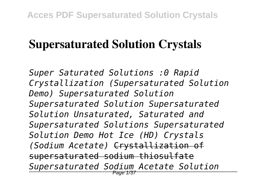## **Supersaturated Solution Crystals**

*Super Saturated Solutions :0 Rapid Crystallization (Supersaturated Solution Demo) Supersaturated Solution Supersaturated Solution Supersaturated Solution Unsaturated, Saturated and Supersaturated Solutions Supersaturated Solution Demo Hot Ice (HD) Crystals (Sodium Acetate)* Crystallization of supersaturated sodium thiosulfate *Supersaturated Sodium Acetate Solution* Page 1/37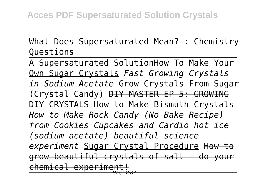What Does Supersaturated Mean? : Chemistry Questions

A Supersaturated SolutionHow To Make Your Own Sugar Crystals *Fast Growing Crystals in Sodium Acetate* Grow Crystals From Sugar (Crystal Candy) DIY MASTER EP 5: GROWING DIY CRYSTALS How to Make Bismuth Crystals *How to Make Rock Candy (No Bake Recipe) from Cookies Cupcakes and Cardio hot ice (sodium acetate) beautiful science experiment* Sugar Crystal Procedure How to grow beautiful crystals of salt - do your chemical experiment!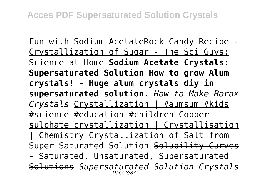Fun with Sodium AcetateRock Candy Recipe - Crystallization of Sugar - The Sci Guys: Science at Home **Sodium Acetate Crystals: Supersaturated Solution How to grow Alum crystals! - Huge alum crystals diy in supersaturated solution.** *How to Make Borax Crystals* Crystallization | #aumsum #kids #science #education #children Copper sulphate crystallization | Crystallisation | Chemistry Crystallization of Salt from Super Saturated Solution Solubility Curves - Saturated, Unsaturated, Supersaturated Solutions *Supersaturated Solution Crystals* Page 3/37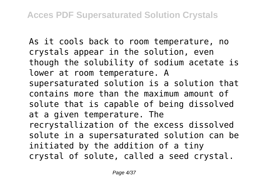As it cools back to room temperature, no crystals appear in the solution, even though the solubility of sodium acetate is lower at room temperature. A supersaturated solution is a solution that contains more than the maximum amount of solute that is capable of being dissolved at a given temperature. The recrystallization of the excess dissolved solute in a supersaturated solution can be initiated by the addition of a tiny crystal of solute, called a seed crystal.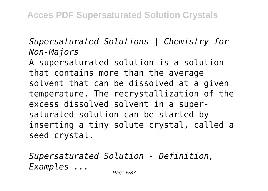*Supersaturated Solutions | Chemistry for Non-Majors*

A supersaturated solution is a solution that contains more than the average solvent that can be dissolved at a given temperature. The recrystallization of the excess dissolved solvent in a supersaturated solution can be started by inserting a tiny solute crystal, called a seed crystal.

*Supersaturated Solution - Definition, Examples ...* Page 5/37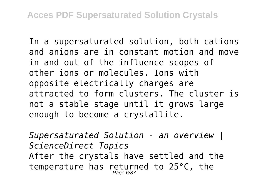In a supersaturated solution, both cations and anions are in constant motion and move in and out of the influence scopes of other ions or molecules. Ions with opposite electrically charges are attracted to form clusters. The cluster is not a stable stage until it grows large enough to become a crystallite.

*Supersaturated Solution - an overview | ScienceDirect Topics* After the crystals have settled and the temperature has returned to 25°C, the Page 6/37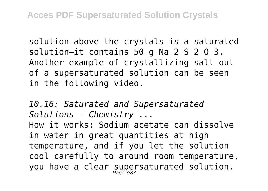solution above the crystals is a saturated solution—it contains 50 g Na 2 S 2 O 3. Another example of crystallizing salt out of a supersaturated solution can be seen in the following video.

*10.16: Saturated and Supersaturated Solutions - Chemistry ...* How it works: Sodium acetate can dissolve in water in great quantities at high temperature, and if you let the solution cool carefully to around room temperature, you have a clear supersaturated solution. Page 7/37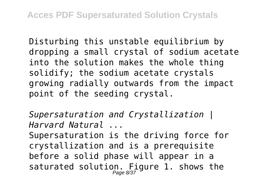Disturbing this unstable equilibrium by dropping a small crystal of sodium acetate into the solution makes the whole thing solidify; the sodium acetate crystals growing radially outwards from the impact point of the seeding crystal.

*Supersaturation and Crystallization | Harvard Natural ...*

Supersaturation is the driving force for crystallization and is a prerequisite before a solid phase will appear in a saturated solution. Figure 1. shows the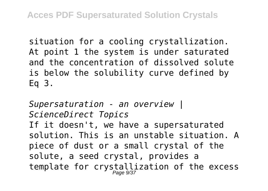situation for a cooling crystallization. At point 1 the system is under saturated and the concentration of dissolved solute is below the solubility curve defined by Eq 3.

*Supersaturation - an overview | ScienceDirect Topics* If it doesn't, we have a supersaturated solution. This is an unstable situation. A piece of dust or a small crystal of the solute, a seed crystal, provides a template for crystallization of the excess Page 9/37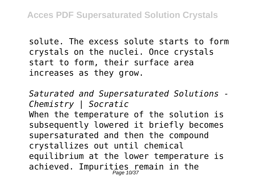solute. The excess solute starts to form crystals on the nuclei. Once crystals start to form, their surface area increases as they grow.

*Saturated and Supersaturated Solutions - Chemistry | Socratic* When the temperature of the solution is subsequently lowered it briefly becomes supersaturated and then the compound crystallizes out until chemical equilibrium at the lower temperature is achieved. Impurities remain in the<br>Page 10/37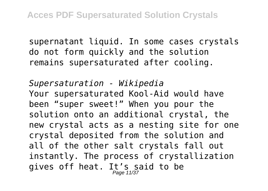supernatant liquid. In some cases crystals do not form quickly and the solution remains supersaturated after cooling.

*Supersaturation - Wikipedia* Your supersaturated Kool-Aid would have been "super sweet!" When you pour the solution onto an additional crystal, the new crystal acts as a nesting site for one crystal deposited from the solution and all of the other salt crystals fall out instantly. The process of crystallization gives off heat. It's said to be<br>Page 11/37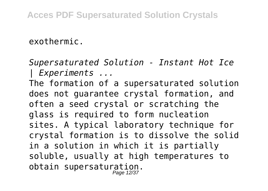exothermic.

*Supersaturated Solution - Instant Hot Ice | Experiments ...* The formation of a supersaturated solution does not guarantee crystal formation, and often a seed crystal or scratching the glass is required to form nucleation sites. A typical laboratory technique for crystal formation is to dissolve the solid in a solution in which it is partially soluble, usually at high temperatures to obtain supersaturation. Page 12/37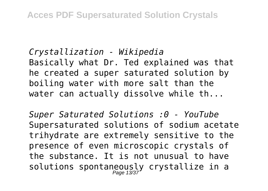*Crystallization - Wikipedia* Basically what Dr. Ted explained was that he created a super saturated solution by boiling water with more salt than the water can actually dissolve while th...

*Super Saturated Solutions :0 - YouTube* Supersaturated solutions of sodium acetate trihydrate are extremely sensitive to the presence of even microscopic crystals of the substance. It is not unusual to have solutions spontaneously crystallize in a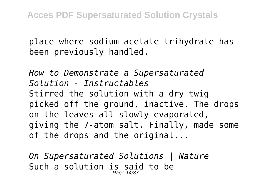place where sodium acetate trihydrate has been previously handled.

*How to Demonstrate a Supersaturated Solution - Instructables* Stirred the solution with a dry twig picked off the ground, inactive. The drops on the leaves all slowly evaporated, giving the 7-atom salt. Finally, made some of the drops and the original...

*On Supersaturated Solutions | Nature* Such a solution is said to be Page 14/37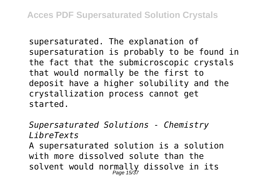supersaturated. The explanation of supersaturation is probably to be found in the fact that the submicroscopic crystals that would normally be the first to deposit have a higher solubility and the crystallization process cannot get started.

*Supersaturated Solutions - Chemistry LibreTexts*

A supersaturated solution is a solution with more dissolved solute than the solvent would normally dissolve in its Page 15/37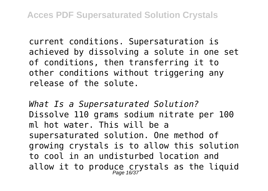current conditions. Supersaturation is achieved by dissolving a solute in one set of conditions, then transferring it to other conditions without triggering any release of the solute.

*What Is a Supersaturated Solution?* Dissolve 110 grams sodium nitrate per 100 ml hot water. This will be a supersaturated solution. One method of growing crystals is to allow this solution to cool in an undisturbed location and allow it to produce crystals as the liquid<br>Page 16/37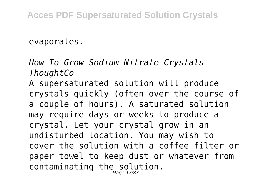evaporates.

*How To Grow Sodium Nitrate Crystals - ThoughtCo*

A supersaturated solution will produce crystals quickly (often over the course of a couple of hours). A saturated solution may require days or weeks to produce a crystal. Let your crystal grow in an undisturbed location. You may wish to cover the solution with a coffee filter or paper towel to keep dust or whatever from contaminating the solution.<br> $P_{\text{edge 17/37}}$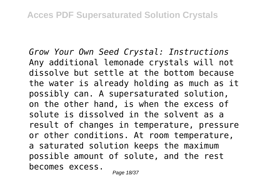*Grow Your Own Seed Crystal: Instructions* Any additional lemonade crystals will not dissolve but settle at the bottom because the water is already holding as much as it possibly can. A supersaturated solution, on the other hand, is when the excess of solute is dissolved in the solvent as a result of changes in temperature, pressure or other conditions. At room temperature, a saturated solution keeps the maximum possible amount of solute, and the rest becomes excess.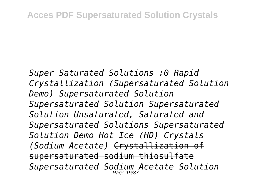*Super Saturated Solutions :0 Rapid Crystallization (Supersaturated Solution Demo) Supersaturated Solution Supersaturated Solution Supersaturated Solution Unsaturated, Saturated and Supersaturated Solutions Supersaturated Solution Demo Hot Ice (HD) Crystals (Sodium Acetate)* Crystallization of supersaturated sodium thiosulfate *Supersaturated Sodium Acetate Solution* Page 19/37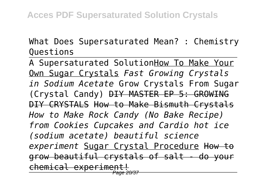What Does Supersaturated Mean? : Chemistry Questions

A Supersaturated SolutionHow To Make Your Own Sugar Crystals *Fast Growing Crystals in Sodium Acetate* Grow Crystals From Sugar (Crystal Candy) DIY MASTER EP 5: GROWING DIY CRYSTALS How to Make Bismuth Crystals *How to Make Rock Candy (No Bake Recipe) from Cookies Cupcakes and Cardio hot ice (sodium acetate) beautiful science experiment* Sugar Crystal Procedure How to grow beautiful crystals of salt - do your chemical experiment!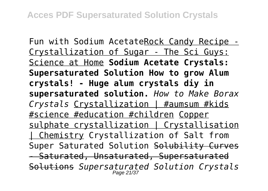Fun with Sodium AcetateRock Candy Recipe - Crystallization of Sugar - The Sci Guys: Science at Home **Sodium Acetate Crystals: Supersaturated Solution How to grow Alum crystals! - Huge alum crystals diy in supersaturated solution.** *How to Make Borax Crystals* Crystallization | #aumsum #kids #science #education #children Copper sulphate crystallization | Crystallisation | Chemistry Crystallization of Salt from Super Saturated Solution Solubility Curves - Saturated, Unsaturated, Supersaturated Solutions *Supersaturated Solution Crystals* Page 21/37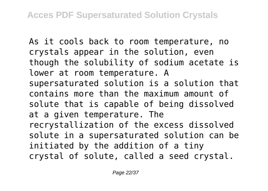As it cools back to room temperature, no crystals appear in the solution, even though the solubility of sodium acetate is lower at room temperature. A supersaturated solution is a solution that contains more than the maximum amount of solute that is capable of being dissolved at a given temperature. The recrystallization of the excess dissolved solute in a supersaturated solution can be initiated by the addition of a tiny crystal of solute, called a seed crystal.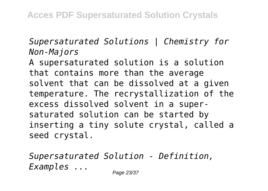*Supersaturated Solutions | Chemistry for Non-Majors*

A supersaturated solution is a solution that contains more than the average solvent that can be dissolved at a given temperature. The recrystallization of the excess dissolved solvent in a supersaturated solution can be started by inserting a tiny solute crystal, called a seed crystal.

*Supersaturated Solution - Definition, Examples ...* Page 23/37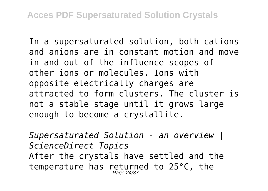In a supersaturated solution, both cations and anions are in constant motion and move in and out of the influence scopes of other ions or molecules. Ions with opposite electrically charges are attracted to form clusters. The cluster is not a stable stage until it grows large enough to become a crystallite.

*Supersaturated Solution - an overview | ScienceDirect Topics* After the crystals have settled and the temperature has returned to 25°C, the Page 24/37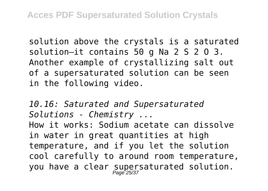solution above the crystals is a saturated solution—it contains 50 g Na 2 S 2 O 3. Another example of crystallizing salt out of a supersaturated solution can be seen in the following video.

*10.16: Saturated and Supersaturated Solutions - Chemistry ...* How it works: Sodium acetate can dissolve in water in great quantities at high temperature, and if you let the solution cool carefully to around room temperature, you have a clear supersaturated solution. Page 25/37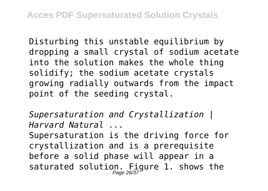Disturbing this unstable equilibrium by dropping a small crystal of sodium acetate into the solution makes the whole thing solidify; the sodium acetate crystals growing radially outwards from the impact point of the seeding crystal.

*Supersaturation and Crystallization | Harvard Natural ...*

Supersaturation is the driving force for crystallization and is a prerequisite before a solid phase will appear in a saturated solution. Figure 1. shows the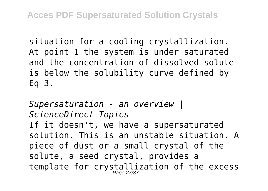situation for a cooling crystallization. At point 1 the system is under saturated and the concentration of dissolved solute is below the solubility curve defined by Eq 3.

*Supersaturation - an overview | ScienceDirect Topics* If it doesn't, we have a supersaturated solution. This is an unstable situation. A piece of dust or a small crystal of the solute, a seed crystal, provides a template for crystallization of the excess Page 27/37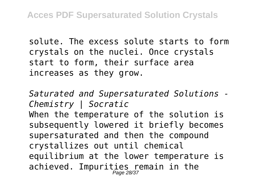solute. The excess solute starts to form crystals on the nuclei. Once crystals start to form, their surface area increases as they grow.

*Saturated and Supersaturated Solutions - Chemistry | Socratic* When the temperature of the solution is subsequently lowered it briefly becomes supersaturated and then the compound crystallizes out until chemical equilibrium at the lower temperature is achieved. Impurities remain in the<br>Page 28/37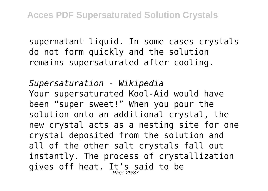supernatant liquid. In some cases crystals do not form quickly and the solution remains supersaturated after cooling.

*Supersaturation - Wikipedia* Your supersaturated Kool-Aid would have been "super sweet!" When you pour the solution onto an additional crystal, the new crystal acts as a nesting site for one crystal deposited from the solution and all of the other salt crystals fall out instantly. The process of crystallization gives off heat. It's said to be<br>Page 29/37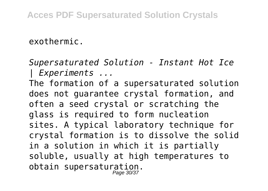exothermic.

*Supersaturated Solution - Instant Hot Ice | Experiments ...* The formation of a supersaturated solution does not guarantee crystal formation, and often a seed crystal or scratching the glass is required to form nucleation sites. A typical laboratory technique for crystal formation is to dissolve the solid in a solution in which it is partially soluble, usually at high temperatures to obtain supersaturation. Page 30/37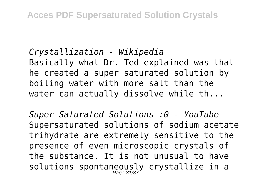*Crystallization - Wikipedia* Basically what Dr. Ted explained was that he created a super saturated solution by boiling water with more salt than the water can actually dissolve while th...

*Super Saturated Solutions :0 - YouTube* Supersaturated solutions of sodium acetate trihydrate are extremely sensitive to the presence of even microscopic crystals of the substance. It is not unusual to have solutions spontaneously crystallize in a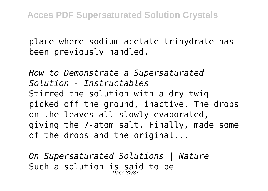place where sodium acetate trihydrate has been previously handled.

*How to Demonstrate a Supersaturated Solution - Instructables* Stirred the solution with a dry twig picked off the ground, inactive. The drops on the leaves all slowly evaporated, giving the 7-atom salt. Finally, made some of the drops and the original...

*On Supersaturated Solutions | Nature* Such a solution is said to be Page 32/37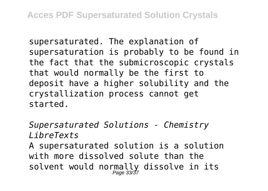supersaturated. The explanation of supersaturation is probably to be found in the fact that the submicroscopic crystals that would normally be the first to deposit have a higher solubility and the crystallization process cannot get started.

*Supersaturated Solutions - Chemistry LibreTexts*

A supersaturated solution is a solution with more dissolved solute than the solvent would normally dissolve in its Page 33/37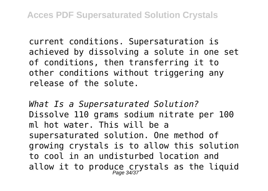current conditions. Supersaturation is achieved by dissolving a solute in one set of conditions, then transferring it to other conditions without triggering any release of the solute.

*What Is a Supersaturated Solution?* Dissolve 110 grams sodium nitrate per 100 ml hot water. This will be a supersaturated solution. One method of growing crystals is to allow this solution to cool in an undisturbed location and allow it to produce crystals as the liquid<br>Page 34/37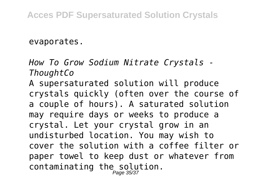evaporates.

*How To Grow Sodium Nitrate Crystals - ThoughtCo*

A supersaturated solution will produce crystals quickly (often over the course of a couple of hours). A saturated solution may require days or weeks to produce a crystal. Let your crystal grow in an undisturbed location. You may wish to cover the solution with a coffee filter or paper towel to keep dust or whatever from contaminating the solution.<br>Page 35/37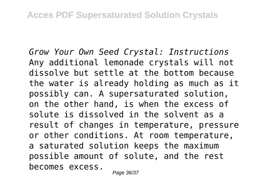*Grow Your Own Seed Crystal: Instructions* Any additional lemonade crystals will not dissolve but settle at the bottom because the water is already holding as much as it possibly can. A supersaturated solution, on the other hand, is when the excess of solute is dissolved in the solvent as a result of changes in temperature, pressure or other conditions. At room temperature, a saturated solution keeps the maximum possible amount of solute, and the rest becomes excess.